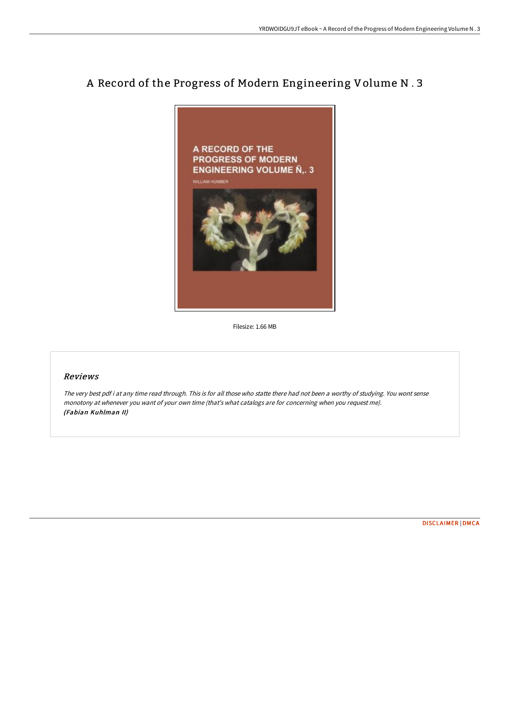## A Record of the Progress of Modern Engineering Volume N . 3



Filesize: 1.66 MB

## Reviews

The very best pdf i at any time read through. This is for all those who statte there had not been <sup>a</sup> worthy of studying. You wont sense monotony at whenever you want of your own time (that's what catalogs are for concerning when you request me). (Fabian Kuhlman II)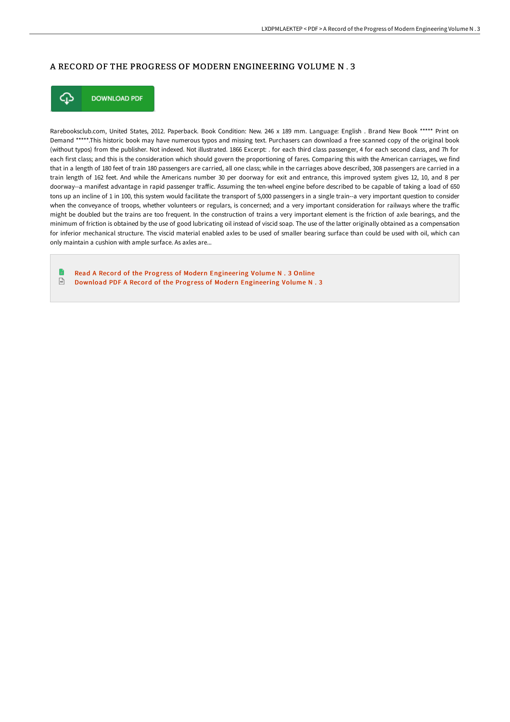## A RECORD OF THE PROGRESS OF MODERN ENGINEERING VOLUME N . 3



**DOWNLOAD PDF** 

Rarebooksclub.com, United States, 2012. Paperback. Book Condition: New. 246 x 189 mm. Language: English . Brand New Book \*\*\*\*\* Print on Demand \*\*\*\*\*.This historic book may have numerous typos and missing text. Purchasers can download a free scanned copy of the original book (without typos) from the publisher. Not indexed. Not illustrated. 1866 Excerpt: . for each third class passenger, 4 for each second class, and 7h for each first class; and this is the consideration which should govern the proportioning of fares. Comparing this with the American carriages, we find that in a length of 180 feet of train 180 passengers are carried, all one class; while in the carriages above described, 308 passengers are carried in a train length of 162 feet. And while the Americans number 30 per doorway for exit and entrance, this improved system gives 12, 10, and 8 per doorway--a manifest advantage in rapid passenger traffic. Assuming the ten-wheel engine before described to be capable of taking a load of 650 tons up an incline of 1 in 100, this system would facilitate the transport of 5,000 passengers in a single train--a very important question to consider when the conveyance of troops, whether volunteers or regulars, is concerned; and a very important consideration for railways where the traffic might be doubled but the trains are too frequent. In the construction of trains a very important element is the friction of axle bearings, and the minimum of friction is obtained by the use of good lubricating oil instead of viscid soap. The use of the latter originally obtained as a compensation for inferior mechanical structure. The viscid material enabled axles to be used of smaller bearing surface than could be used with oil, which can only maintain a cushion with ample surface. As axles are...

Read A Record of the Progress of Modern [Engineering](http://digilib.live/a-record-of-the-progress-of-modern-engineering-v-1.html) Volume N . 3 Online  $\overline{\mathbb{R}^k}$ Download PDF A Record of the Progress of Modern [Engineering](http://digilib.live/a-record-of-the-progress-of-modern-engineering-v-1.html) Volume N . 3